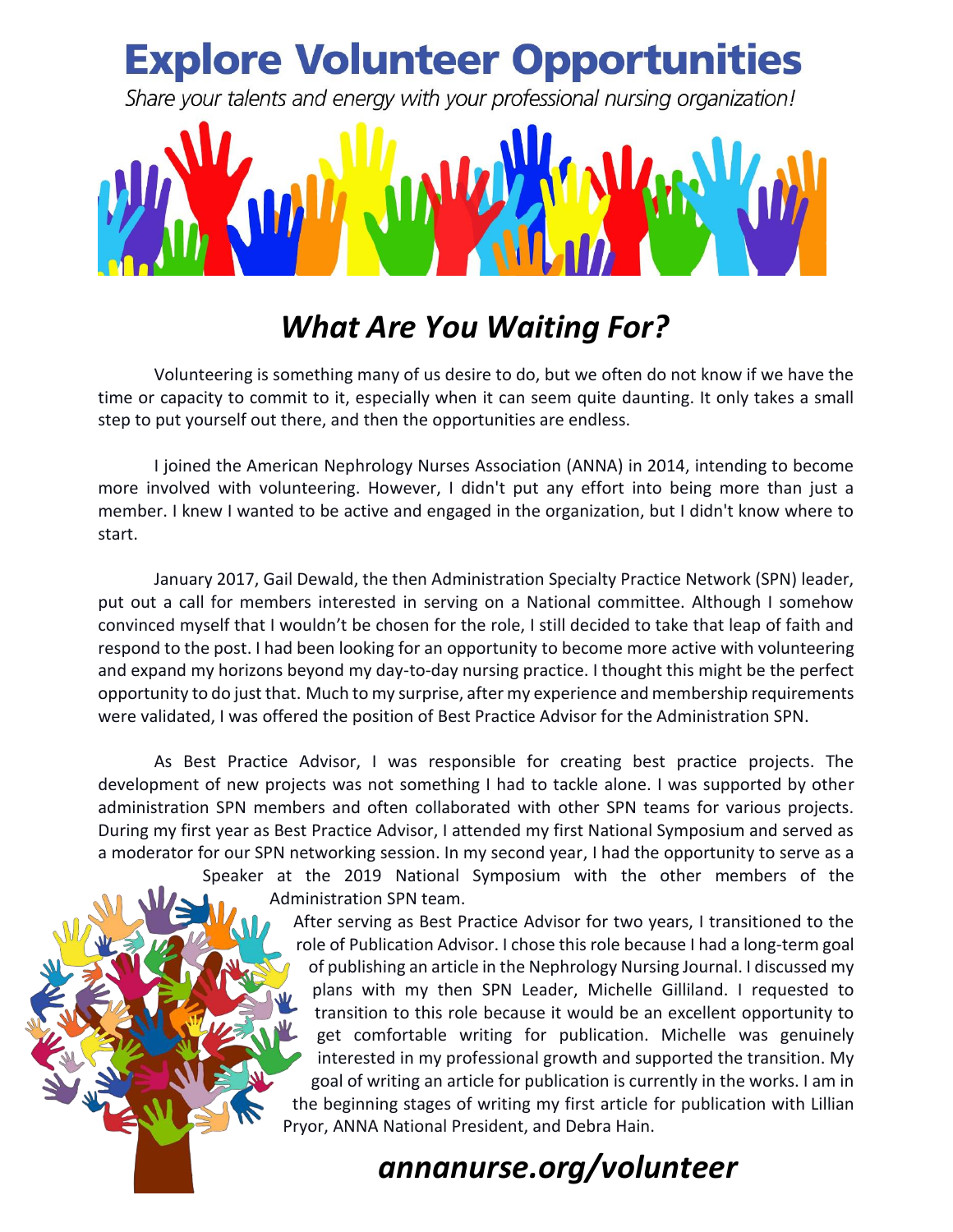

## *What Are You Waiting For?*

Volunteering is something many of us desire to do, but we often do not know if we have the time or capacity to commit to it, especially when it can seem quite daunting. It only takes a small step to put yourself out there, and then the opportunities are endless.

I joined the American Nephrology Nurses Association (ANNA) in 2014, intending to become more involved with volunteering. However, I didn't put any effort into being more than just a member. I knew I wanted to be active and engaged in the organization, but I didn't know where to start.

January 2017, Gail Dewald, the then Administration Specialty Practice Network (SPN) leader, put out a call for members interested in serving on a National committee. Although I somehow convinced myself that I wouldn't be chosen for the role, I still decided to take that leap of faith and respond to the post. I had been looking for an opportunity to become more active with volunteering and expand my horizons beyond my day-to-day nursing practice. I thought this might be the perfect opportunity to do just that. Much to my surprise, after my experience and membership requirements were validated, I was offered the position of Best Practice Advisor for the Administration SPN.

As Best Practice Advisor, I was responsible for creating best practice projects. The development of new projects was not something I had to tackle alone. I was supported by other administration SPN members and often collaborated with other SPN teams for various projects. During my first year as Best Practice Advisor, I attended my first National Symposium and served as a moderator for our SPN networking session. In my second year, I had the opportunity to serve as a

Speaker at the 2019 National Symposium with the other members of the Administration SPN team.

> After serving as Best Practice Advisor for two years, I transitioned to the role of Publication Advisor. I chose this role because I had a long-term goal of publishing an article in the Nephrology Nursing Journal. I discussed my plans with my then SPN Leader, Michelle Gilliland. I requested to transition to this role because it would be an excellent opportunity to get comfortable writing for publication. Michelle was genuinely interested in my professional growth and supported the transition. My goal of writing an article for publication is currently in the works. I am in the beginning stages of writing my first article for publication with Lillian Pryor, ANNA National President, and Debra Hain.

## *annanurse.org/volunteer*